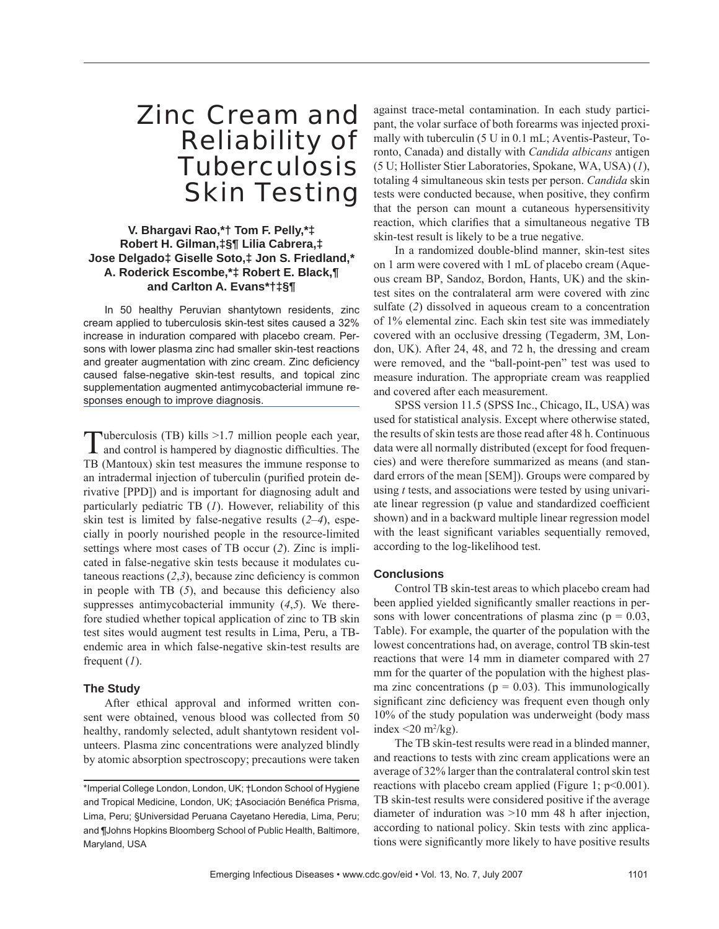# Zinc Cream and Reliability of **Tuberculosis** Skin Testing

## **V. Bhargavi Rao,\*† Tom F. Pelly,\*‡ Robert H. Gilman,‡§¶ Lilia Cabrera,‡ Jose Delgado‡ Giselle Soto,‡ Jon S. Friedland,\* A. Roderick Escombe,\*‡ Robert E. Black,¶ and Carlton A. Evans\*†‡§¶**

In 50 healthy Peruvian shantytown residents, zinc cream applied to tuberculosis skin-test sites caused a 32% increase in induration compared with placebo cream. Persons with lower plasma zinc had smaller skin-test reactions and greater augmentation with zinc cream. Zinc deficiency caused false-negative skin-test results, and topical zinc supplementation augmented antimycobacterial immune responses enough to improve diagnosis.

Tuberculosis (TB) kills >1.7 million people each year, and control is hampered by diagnostic difficulties. The TB (Mantoux) skin test measures the immune response to an intradermal injection of tuberculin (purified protein derivative [PPD]) and is important for diagnosing adult and particularly pediatric TB (*1*). However, reliability of this skin test is limited by false-negative results (*2*–*4*), especially in poorly nourished people in the resource-limited settings where most cases of TB occur (*2*). Zinc is implicated in false-negative skin tests because it modulates cutaneous reactions  $(2,3)$ , because zinc deficiency is common in people with TB  $(5)$ , and because this deficiency also suppresses antimycobacterial immunity (*4*,*5*). We therefore studied whether topical application of zinc to TB skin test sites would augment test results in Lima, Peru, a TBendemic area in which false-negative skin-test results are frequent (*1*).

### **The Study**

After ethical approval and informed written consent were obtained, venous blood was collected from 50 healthy, randomly selected, adult shantytown resident volunteers. Plasma zinc concentrations were analyzed blindly by atomic absorption spectroscopy; precautions were taken against trace-metal contamination. In each study participant, the volar surface of both forearms was injected proximally with tuberculin (5 U in 0.1 mL; Aventis-Pasteur, Toronto, Canada) and distally with *Candida albicans* antigen (5 U; Hollister Stier Laboratories, Spokane, WA, USA) (*1*), totaling 4 simultaneous skin tests per person. *Candida* skin tests were conducted because, when positive, they confirm that the person can mount a cutaneous hypersensitivity reaction, which clarifies that a simultaneous negative TB skin-test result is likely to be a true negative.

In a randomized double-blind manner, skin-test sites on 1 arm were covered with 1 mL of placebo cream (Aqueous cream BP, Sandoz, Bordon, Hants, UK) and the skintest sites on the contralateral arm were covered with zinc sulfate (2) dissolved in aqueous cream to a concentration of 1% elemental zinc. Each skin test site was immediately covered with an occlusive dressing (Tegaderm, 3M, London, UK). After 24, 48, and 72 h, the dressing and cream were removed, and the "ball-point-pen" test was used to measure induration. The appropriate cream was reapplied and covered after each measurement.

SPSS version 11.5 (SPSS Inc., Chicago, IL, USA) was used for statistical analysis. Except where otherwise stated, the results of skin tests are those read after 48 h. Continuous data were all normally distributed (except for food frequencies) and were therefore summarized as means (and standard errors of the mean [SEM]). Groups were compared by using *t* tests, and associations were tested by using univariate linear regression (p value and standardized coefficient shown) and in a backward multiple linear regression model with the least significant variables sequentially removed, according to the log-likelihood test.

### **Conclusions**

Control TB skin-test areas to which placebo cream had been applied yielded significantly smaller reactions in persons with lower concentrations of plasma zinc ( $p = 0.03$ , Table). For example, the quarter of the population with the lowest concentrations had, on average, control TB skin-test reactions that were 14 mm in diameter compared with 27 mm for the quarter of the population with the highest plasma zinc concentrations ( $p = 0.03$ ). This immunologically significant zinc deficiency was frequent even though only 10% of the study population was underweight (body mass index  $\leq$  20 m<sup>2</sup>/kg).

The TB skin-test results were read in a blinded manner, and reactions to tests with zinc cream applications were an average of 32% larger than the contralateral control skin test reactions with placebo cream applied (Figure 1; p<0.001). TB skin-test results were considered positive if the average diameter of induration was >10 mm 48 h after injection, according to national policy. Skin tests with zinc applications were significantly more likely to have positive results

<sup>\*</sup>Imperial College London, London, UK; †London School of Hygiene and Tropical Medicine, London, UK; ‡Asociación Benéfica Prisma, Lima, Peru; §Universidad Peruana Cayetano Heredia, Lima, Peru; and ¶Johns Hopkins Bloomberg School of Public Health, Baltimore, Maryland, USA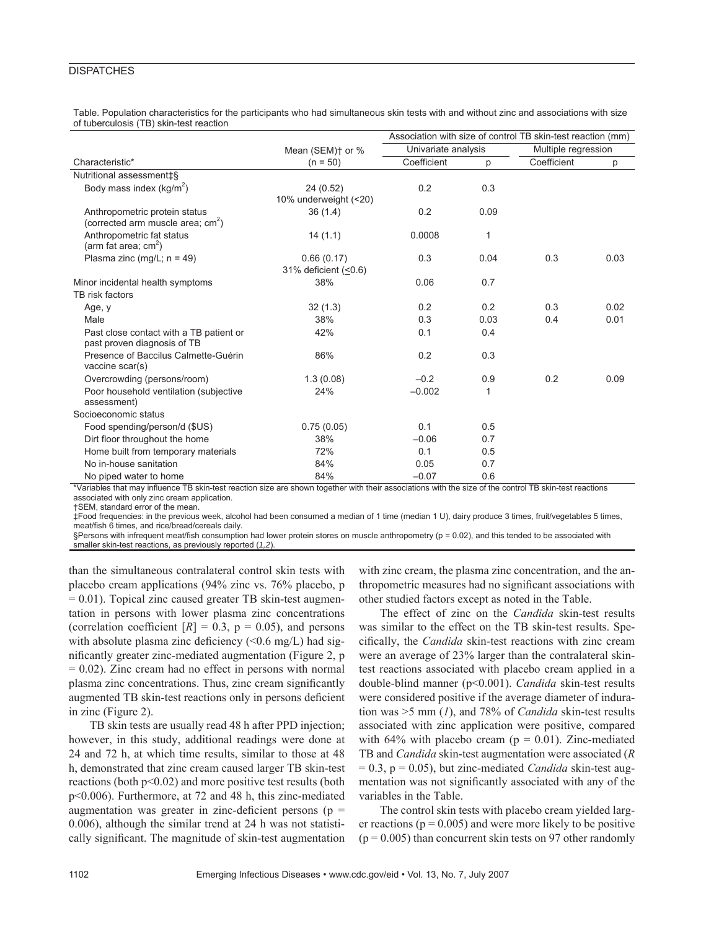### **DISPATCHES**

Table. Population characteristics for the participants who had simultaneous skin tests with and without zinc and associations with size of tuberculosis (TB) skin-test reaction

| Characteristic*                                                                         | Mean (SEM) <sup>+</sup> or %<br>$(n = 50)$ | Association with size of control TB skin-test reaction (mm) |                |                             |      |
|-----------------------------------------------------------------------------------------|--------------------------------------------|-------------------------------------------------------------|----------------|-----------------------------|------|
|                                                                                         |                                            | Univariate analysis                                         |                | Multiple regression         |      |
|                                                                                         |                                            | Coefficient                                                 | p              | Coefficient                 | p    |
| Nutritional assessment‡§                                                                |                                            |                                                             |                |                             |      |
| Body mass index ( $kg/m^2$ )                                                            | 24 (0.52)                                  | 0.2                                                         | 0.3            |                             |      |
|                                                                                         | 10% underweight (<20)                      |                                                             |                |                             |      |
| Anthropometric protein status<br>(corrected arm muscle area; cm <sup>2</sup> )          | 36(1.4)                                    | 0.2                                                         | 0.09           |                             |      |
| Anthropometric fat status<br>(arm fat area; $cm2$ )                                     | 14(1.1)                                    | 0.0008                                                      | 1              |                             |      |
| Plasma zinc (mg/L; $n = 49$ )                                                           | 0.66(0.17)<br>31% deficient (<0.6)         | 0.3                                                         | 0.04           | 0.3                         | 0.03 |
| Minor incidental health symptoms                                                        | 38%                                        | 0.06                                                        | 0.7            |                             |      |
| TB risk factors                                                                         |                                            |                                                             |                |                             |      |
| Age, y                                                                                  | 32(1.3)                                    | 0.2                                                         | 0.2            | 0.3                         | 0.02 |
| Male                                                                                    | 38%                                        | 0.3                                                         | 0.03           | 0.4                         | 0.01 |
| Past close contact with a TB patient or<br>past proven diagnosis of TB                  | 42%                                        | 0.1                                                         | 0.4            |                             |      |
| Presence of Baccilus Calmette-Guérin<br>vaccine scar(s)                                 | 86%                                        | 0.2                                                         | 0.3            |                             |      |
| Overcrowding (persons/room)                                                             | 1.3(0.08)                                  | $-0.2$                                                      | 0.9            | 0.2                         | 0.09 |
| Poor household ventilation (subjective<br>assessment)                                   | 24%                                        | $-0.002$                                                    | 1              |                             |      |
| Socioeconomic status                                                                    |                                            |                                                             |                |                             |      |
| Food spending/person/d (\$US)                                                           | 0.75(0.05)                                 | 0.1                                                         | 0.5            |                             |      |
| Dirt floor throughout the home                                                          | 38%                                        | $-0.06$                                                     | 0.7            |                             |      |
| Home built from temporary materials                                                     | 72%                                        | 0.1                                                         | 0.5            |                             |      |
| No in-house sanitation                                                                  | 84%                                        | 0.05                                                        | 0.7            |                             |      |
| No piped water to home<br>*\ /wateletee that were tailor and a TD elder that were after | 84%<br>مرزم مالان مالان                    | $-0.07$                                                     | 0.6<br>$-0.41$ | that TD although as a suite |      |

\*Variables that may influence TB skin-test reaction size are shown together with their associations with the size of the control TB skin-test reactions associated with only zinc cream application.

†SEM, standard error of the mean.

‡Food frequencies: in the previous week, alcohol had been consumed a median of 1 time (median 1 U), dairy produce 3 times, fruit/vegetables 5 times, meat/fish 6 times, and rice/bread/cereals daily.

§Persons with infrequent meat/fish consumption had lower protein stores on muscle anthropometry (p = 0.02), and this tended to be associated with smaller skin-test reactions, as previously reported (*1,2*).

than the simultaneous contralateral control skin tests with placebo cream applications (94% zinc vs. 76% placebo, p  $= 0.01$ ). Topical zinc caused greater TB skin-test augmentation in persons with lower plasma zinc concentrations (correlation coefficient  $[R] = 0.3$ ,  $p = 0.05$ ), and persons with absolute plasma zinc deficiency  $\langle 0.6 \text{ mg/L} \rangle$  had significantly greater zinc-mediated augmentation (Figure 2, p  $= 0.02$ ). Zinc cream had no effect in persons with normal plasma zinc concentrations. Thus, zinc cream significantly augmented TB skin-test reactions only in persons deficient in zinc (Figure 2).

TB skin tests are usually read 48 h after PPD injection; however, in this study, additional readings were done at 24 and 72 h, at which time results, similar to those at 48 h, demonstrated that zinc cream caused larger TB skin-test reactions (both p<0.02) and more positive test results (both p<0.006). Furthermore, at 72 and 48 h, this zinc-mediated augmentation was greater in zinc-deficient persons ( $p =$ 0.006), although the similar trend at 24 h was not statistically significant. The magnitude of skin-test augmentation

with zinc cream, the plasma zinc concentration, and the anthropometric measures had no significant associations with other studied factors except as noted in the Table.

The effect of zinc on the *Candida* skin-test results was similar to the effect on the TB skin-test results. Specifi cally, the *Candida* skin-test reactions with zinc cream were an average of 23% larger than the contralateral skintest reactions associated with placebo cream applied in a double-blind manner (p<0.001). *Candida* skin-test results were considered positive if the average diameter of induration was >5 mm (*1*), and 78% of *Candida* skin-test results associated with zinc application were positive, compared with 64% with placebo cream ( $p = 0.01$ ). Zinc-mediated TB and *Candida* skin-test augmentation were associated (*R*  $= 0.3$ ,  $p = 0.05$ ), but zinc-mediated *Candida* skin-test augmentation was not significantly associated with any of the variables in the Table.

The control skin tests with placebo cream yielded larger reactions ( $p = 0.005$ ) and were more likely to be positive  $(p = 0.005)$  than concurrent skin tests on 97 other randomly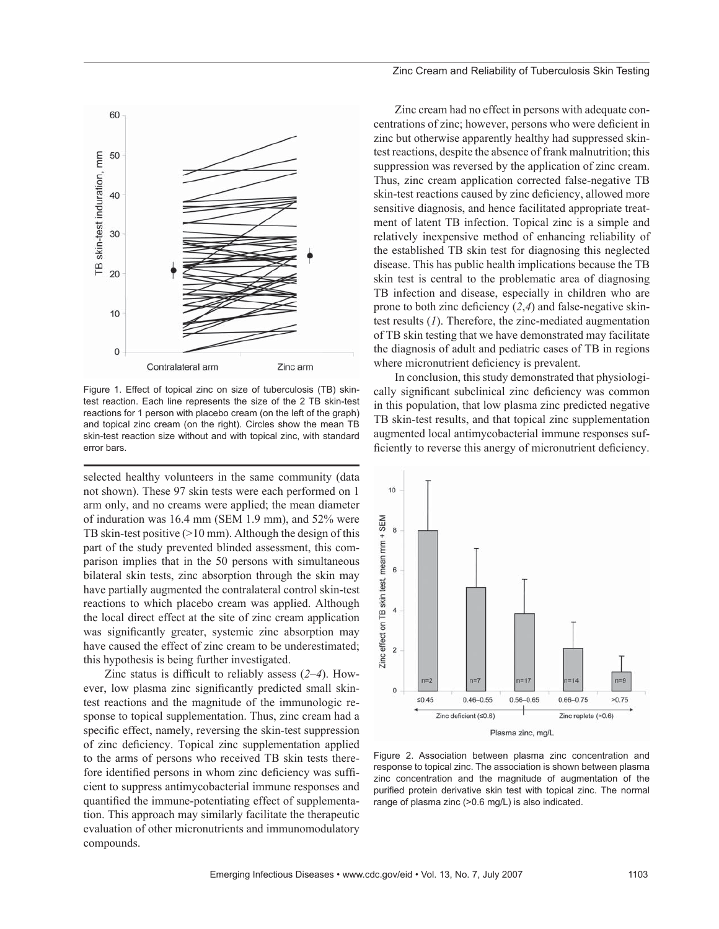

Figure 1. Effect of topical zinc on size of tuberculosis (TB) skintest reaction. Each line represents the size of the 2 TB skin-test reactions for 1 person with placebo cream (on the left of the graph) and topical zinc cream (on the right). Circles show the mean TB skin-test reaction size without and with topical zinc, with standard error bars.

selected healthy volunteers in the same community (data not shown). These 97 skin tests were each performed on 1 arm only, and no creams were applied; the mean diameter of induration was 16.4 mm (SEM 1.9 mm), and 52% were TB skin-test positive (>10 mm). Although the design of this part of the study prevented blinded assessment, this comparison implies that in the 50 persons with simultaneous bilateral skin tests, zinc absorption through the skin may have partially augmented the contralateral control skin-test reactions to which placebo cream was applied. Although the local direct effect at the site of zinc cream application was significantly greater, systemic zinc absorption may have caused the effect of zinc cream to be underestimated; this hypothesis is being further investigated.

Zinc status is difficult to reliably assess  $(2-4)$ . However, low plasma zinc significantly predicted small skintest reactions and the magnitude of the immunologic response to topical supplementation. Thus, zinc cream had a specific effect, namely, reversing the skin-test suppression of zinc deficiency. Topical zinc supplementation applied to the arms of persons who received TB skin tests therefore identified persons in whom zinc deficiency was sufficient to suppress antimycobacterial immune responses and quantified the immune-potentiating effect of supplementation. This approach may similarly facilitate the therapeutic evaluation of other micronutrients and immunomodulatory compounds.

Zinc cream had no effect in persons with adequate concentrations of zinc; however, persons who were deficient in zinc but otherwise apparently healthy had suppressed skintest reactions, despite the absence of frank malnutrition; this suppression was reversed by the application of zinc cream. Thus, zinc cream application corrected false-negative TB skin-test reactions caused by zinc deficiency, allowed more sensitive diagnosis, and hence facilitated appropriate treatment of latent TB infection. Topical zinc is a simple and relatively inexpensive method of enhancing reliability of the established TB skin test for diagnosing this neglected disease. This has public health implications because the TB skin test is central to the problematic area of diagnosing TB infection and disease, especially in children who are prone to both zinc deficiency  $(2,4)$  and false-negative skintest results (*1*). Therefore, the zinc-mediated augmentation of TB skin testing that we have demonstrated may facilitate the diagnosis of adult and pediatric cases of TB in regions where micronutrient deficiency is prevalent.

In conclusion, this study demonstrated that physiologically significant subclinical zinc deficiency was common in this population, that low plasma zinc predicted negative TB skin-test results, and that topical zinc supplementation augmented local antimycobacterial immune responses sufficiently to reverse this anergy of micronutrient deficiency.



Figure 2. Association between plasma zinc concentration and response to topical zinc. The association is shown between plasma zinc concentration and the magnitude of augmentation of the purified protein derivative skin test with topical zinc. The normal range of plasma zinc (>0.6 mg/L) is also indicated.